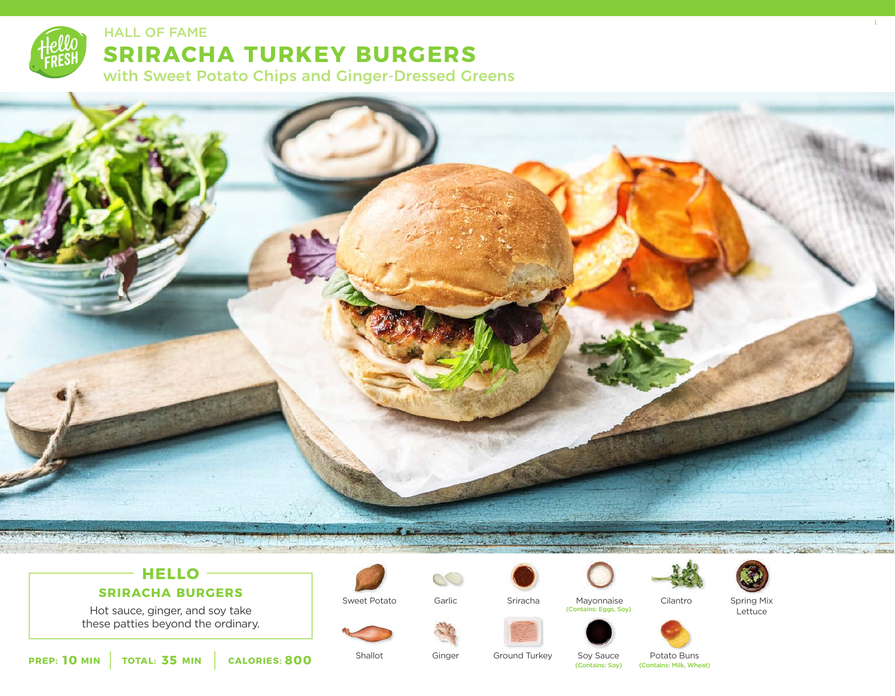

# **SRIRACHA TURKEY BURGERS** HALL OF FAME ALL ASSESSMENT CONTROL IN THE SERVICE OF STATE AND THE SERVICE OF STATE OF STATE OF STATE OF STATE

with Sweet Potato Chips and Ginger-Dressed Greens



## **HELLO**

#### **SRIRACHA BURGERS**

Hot sauce, ginger, and soy take these patties beyond the ordinary.



Sweet Potato



Ginger

Mayonnaise









**10** MIN | TOTAL: 35 MIN | CALORIES: 800

Shallot

Ground Turkey

Sriracha

Soy Sauce<br>(Contains: Soy)

Potato Buns (Contains: Milk, Wheat)

Spring Mix Lettuce (Contains: Eggs, Soy)